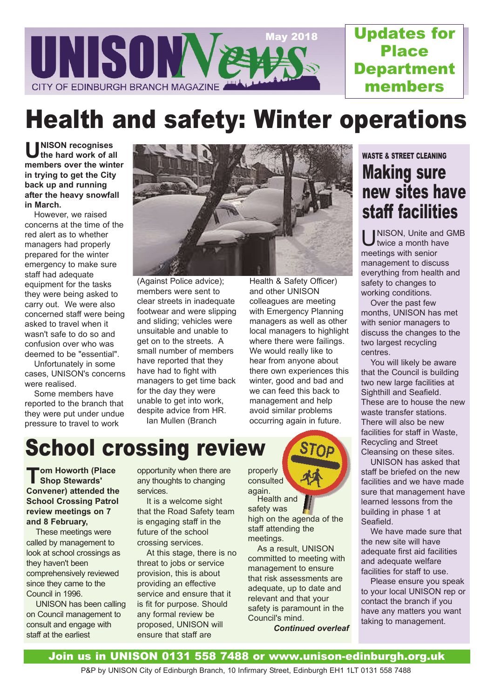

Updates for Place **Department** members

# Health and safety: Winter operations

U NISON recognises<br>the hard work of a **the hard work of all members over the winter in trying to get the City back up and running after the heavy snowfall in March.** 

However, we raised concerns at the time of the red alert as to whether managers had properly prepared for the winter emergency to make sure staff had adequate equipment for the tasks they were being asked to carry out. We were also concerned staff were being asked to travel when it wasn't safe to do so and confusion over who was deemed to be "essential".

Unfortunately in some cases, UNISON's concerns were realised.

Some members have reported to the branch that they were put under undue pressure to travel to work



(Against Police advice); members were sent to clear streets in inadequate footwear and were slipping and sliding; vehicles were unsuitable and unable to get on to the streets. A small number of members have reported that they have had to fight with managers to get time back for the day they were unable to get into work, despite advice from HR. Ian Mullen (Branch

Health & Safety Officer) and other UNISON colleagues are meeting with Emergency Planning managers as well as other local managers to highlight where there were failings. We would really like to hear from anyone about there own experiences this winter, good and bad and we can feed this back to management and help avoid similar problems occurring again in future.

### WASTE & STREET CLEANING Making sure new sites have staff facilities

U NISON, Unite and GMB twice a month have meetings with senior management to discuss everything from health and safety to changes to working conditions.

Over the past few months, UNISON has met with senior managers to discuss the changes to the two largest recycling centres.

You will likely be aware that the Council is building two new large facilities at Sighthill and Seafield. These are to house the new waste transfer stations. There will also be new facilities for staff in Waste, Recycling and Street Cleansing on these sites.

UNISON has asked that staff be briefed on the new facilities and we have made sure that management have learned lessons from the building in phase 1 at Seafield.

We have made sure that the new site will have adequate first aid facilities and adequate welfare facilities for staff to use.

Please ensure you speak to your local UNISON rep or contact the branch if you have any matters you want taking to management.

# School crossing review

**T** om Howorth (Place<br>
Shop Stewards' **Shop Stewards' Convener) attended the School Crossing Patrol review meetings on 7 and 8 February,** 

These meetings were called by management to look at school crossings as they haven't been comprehensively reviewed since they came to the Council in 1996.

UNISON has been calling on Council management to consult and engage with staff at the earliest

opportunity when there are any thoughts to changing services.

It is a welcome sight that the Road Safety team is engaging staff in the future of the school crossing services.

At this stage, there is no threat to jobs or service provision, this is about providing an effective service and ensure that it is fit for purpose. Should any formal review be proposed, UNISON will ensure that staff are

consulted again. Health and safety was high on the agenda of the staff attending the meetings.

properly

As a result, UNISON committed to meeting with management to ensure that risk assessments are adequate, up to date and relevant and that your safety is paramount in the Council's mind.

*Continued overleaf*

### Join us in UNISON 0131 558 7488 or www.unison-edinburgh.org.uk

P&P by UNISON City of Edinburgh Branch, 10 Infirmary Street, Edinburgh EH1 1LT 0131 558 7488